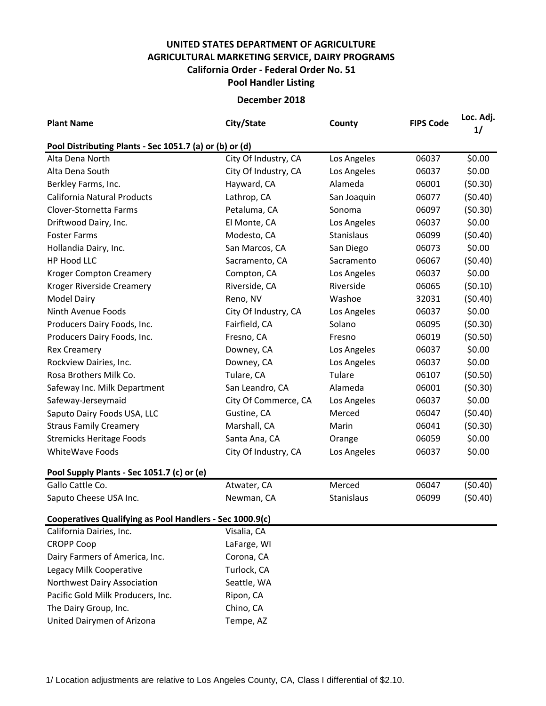## **UNITED STATES DEPARTMENT OF AGRICULTURE AGRICULTURAL MARKETING SERVICE, DAIRY PROGRAMS Pool Handler Listing California Order - Federal Order No. 51**

## **December 2018**

| <b>Plant Name</b>                                        | City/State           | County      | <b>FIPS Code</b> | Loc. Adj.<br>1/ |  |  |  |  |  |
|----------------------------------------------------------|----------------------|-------------|------------------|-----------------|--|--|--|--|--|
| Pool Distributing Plants - Sec 1051.7 (a) or (b) or (d)  |                      |             |                  |                 |  |  |  |  |  |
| Alta Dena North                                          | City Of Industry, CA | Los Angeles | 06037            | \$0.00          |  |  |  |  |  |
| Alta Dena South                                          | City Of Industry, CA | Los Angeles | 06037            | \$0.00          |  |  |  |  |  |
| Berkley Farms, Inc.                                      | Hayward, CA          | Alameda     | 06001            | (50.30)         |  |  |  |  |  |
| California Natural Products                              | Lathrop, CA          | San Joaquin | 06077            | (50.40)         |  |  |  |  |  |
| Clover-Stornetta Farms                                   | Petaluma, CA         | Sonoma      | 06097            | (50.30)         |  |  |  |  |  |
| Driftwood Dairy, Inc.                                    | El Monte, CA         | Los Angeles | 06037            | \$0.00          |  |  |  |  |  |
| <b>Foster Farms</b>                                      | Modesto, CA          | Stanislaus  | 06099            | (50.40)         |  |  |  |  |  |
| Hollandia Dairy, Inc.                                    | San Marcos, CA       | San Diego   | 06073            | \$0.00          |  |  |  |  |  |
| HP Hood LLC                                              | Sacramento, CA       | Sacramento  | 06067            | (50.40)         |  |  |  |  |  |
| <b>Kroger Compton Creamery</b>                           | Compton, CA          | Los Angeles | 06037            | \$0.00          |  |  |  |  |  |
| Kroger Riverside Creamery                                | Riverside, CA        | Riverside   | 06065            | (50.10)         |  |  |  |  |  |
| <b>Model Dairy</b>                                       | Reno, NV             | Washoe      | 32031            | (50.40)         |  |  |  |  |  |
| Ninth Avenue Foods                                       | City Of Industry, CA | Los Angeles | 06037            | \$0.00          |  |  |  |  |  |
| Producers Dairy Foods, Inc.                              | Fairfield, CA        | Solano      | 06095            | (50.30)         |  |  |  |  |  |
| Producers Dairy Foods, Inc.                              | Fresno, CA           | Fresno      | 06019            | (50.50)         |  |  |  |  |  |
| <b>Rex Creamery</b>                                      | Downey, CA           | Los Angeles | 06037            | \$0.00          |  |  |  |  |  |
| Rockview Dairies, Inc.                                   | Downey, CA           | Los Angeles | 06037            | \$0.00          |  |  |  |  |  |
| Rosa Brothers Milk Co.                                   | Tulare, CA           | Tulare      | 06107            | (50.50)         |  |  |  |  |  |
| Safeway Inc. Milk Department                             | San Leandro, CA      | Alameda     | 06001            | (50.30)         |  |  |  |  |  |
| Safeway-Jerseymaid                                       | City Of Commerce, CA | Los Angeles | 06037            | \$0.00          |  |  |  |  |  |
| Saputo Dairy Foods USA, LLC                              | Gustine, CA          | Merced      | 06047            | (50.40)         |  |  |  |  |  |
| <b>Straus Family Creamery</b>                            | Marshall, CA         | Marin       | 06041            | (50.30)         |  |  |  |  |  |
| <b>Stremicks Heritage Foods</b>                          | Santa Ana, CA        | Orange      | 06059            | \$0.00          |  |  |  |  |  |
| <b>WhiteWave Foods</b>                                   | City Of Industry, CA | Los Angeles | 06037            | \$0.00          |  |  |  |  |  |
| Pool Supply Plants - Sec 1051.7 (c) or (e)               |                      |             |                  |                 |  |  |  |  |  |
| Gallo Cattle Co.                                         | Atwater, CA          | Merced      | 06047            | (50.40)         |  |  |  |  |  |
| Saputo Cheese USA Inc.                                   | Newman, CA           | Stanislaus  | 06099            | (50.40)         |  |  |  |  |  |
| Cooperatives Qualifying as Pool Handlers - Sec 1000.9(c) |                      |             |                  |                 |  |  |  |  |  |
| California Dairies, Inc.                                 | Visalia, CA          |             |                  |                 |  |  |  |  |  |
| <b>CROPP Coop</b>                                        | LaFarge, WI          |             |                  |                 |  |  |  |  |  |
| Dairy Farmers of America, Inc.                           | Corona, CA           |             |                  |                 |  |  |  |  |  |
| Legacy Milk Cooperative                                  | Turlock, CA          |             |                  |                 |  |  |  |  |  |
| Northwest Dairy Association                              | Seattle, WA          |             |                  |                 |  |  |  |  |  |
| Pacific Gold Milk Producers, Inc.                        | Ripon, CA            |             |                  |                 |  |  |  |  |  |
| The Dairy Group, Inc.                                    | Chino, CA            |             |                  |                 |  |  |  |  |  |
| United Dairymen of Arizona                               | Tempe, AZ            |             |                  |                 |  |  |  |  |  |